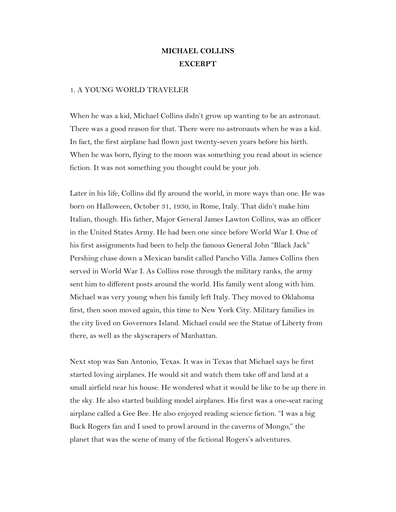## **MICHAEL COLLINS EXCERPT**

## 1. A YOUNG WORLD TRAVELER

When he was a kid, Michael Collins didn't grow up wanting to be an astronaut. There was a good reason for that. There were no astronauts when he was a kid. In fact, the first airplane had flown just twenty-seven years before his birth. When he was born, flying to the moon was something you read about in science fiction. It was not something you thought could be your job.

Later in his life, Collins did fly around the world, in more ways than one. He was born on Halloween, October 31, 1930, in Rome, Italy. That didn't make him Italian, though. His father, Major General James Lawton Collins, was an officer in the United States Army. He had been one since before World War I. One of his first assignments had been to help the famous General John "Black Jack" Pershing chase down a Mexican bandit called Pancho Villa. James Collins then served in World War I. As Collins rose through the military ranks, the army sent him to different posts around the world. His family went along with him. Michael was very young when his family left Italy. They moved to Oklahoma first, then soon moved again, this time to New York City. Military families in the city lived on Governors Island. Michael could see the Statue of Liberty from there, as well as the skyscrapers of Manhattan.

Next stop was San Antonio, Texas. It was in Texas that Michael says he first started loving airplanes. He would sit and watch them take off and land at a small airfield near his house. He wondered what it would be like to be up there in the sky. He also started building model airplanes. His first was a one-seat racing airplane called a Gee Bee. He also enjoyed reading science fiction. "I was a big Buck Rogers fan and I used to prowl around in the caverns of Mongo," the planet that was the scene of many of the fictional Rogers's adventures.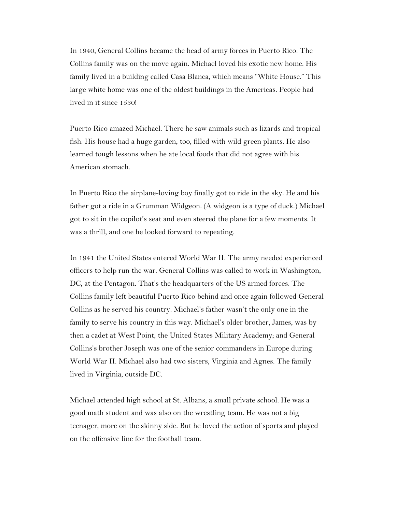In 1940, General Collins became the head of army forces in Puerto Rico. The Collins family was on the move again. Michael loved his exotic new home. His family lived in a building called Casa Blanca, which means "White House." This large white home was one of the oldest buildings in the Americas. People had lived in it since 1530!

Puerto Rico amazed Michael. There he saw animals such as lizards and tropical fish. His house had a huge garden, too, filled with wild green plants. He also learned tough lessons when he ate local foods that did not agree with his American stomach.

In Puerto Rico the airplane-loving boy finally got to ride in the sky. He and his father got a ride in a Grumman Widgeon. (A widgeon is a type of duck.) Michael got to sit in the copilot's seat and even steered the plane for a few moments. It was a thrill, and one he looked forward to repeating.

In 1941 the United States entered World War II. The army needed experienced officers to help run the war. General Collins was called to work in Washington, DC, at the Pentagon. That's the headquarters of the US armed forces. The Collins family left beautiful Puerto Rico behind and once again followed General Collins as he served his country. Michael's father wasn't the only one in the family to serve his country in this way. Michael's older brother, James, was by then a cadet at West Point, the United States Military Academy; and General Collins's brother Joseph was one of the senior commanders in Europe during World War II. Michael also had two sisters, Virginia and Agnes. The family lived in Virginia, outside DC.

Michael attended high school at St. Albans, a small private school. He was a good math student and was also on the wrestling team. He was not a big teenager, more on the skinny side. But he loved the action of sports and played on the offensive line for the football team.